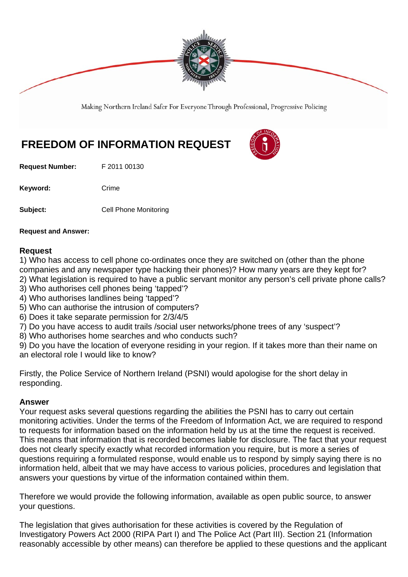

Making Northern Ireland Safer For Everyone Through Professional, Progressive Policing

# **FREEDOM OF INFORMATION REQUEST**

**Request Number:** F 2011 00130

Keyword: Crime

**Subject: Cell Phone Monitoring** 

**Request and Answer:** 

#### **Request**

1) Who has access to cell phone co-ordinates once they are switched on (other than the phone companies and any newspaper type hacking their phones)? How many years are they kept for?

2) What legislation is required to have a public servant monitor any person's cell private phone calls? 3) Who authorises cell phones being 'tapped'?

- 4) Who authorises landlines being 'tapped'?
- 5) Who can authorise the intrusion of computers?
- 6) Does it take separate permission for 2/3/4/5
- 7) Do you have access to audit trails /social user networks/phone trees of any 'suspect'?
- 8) Who authorises home searches and who conducts such?

9) Do you have the location of everyone residing in your region. If it takes more than their name on an electoral role I would like to know?

Firstly, the Police Service of Northern Ireland (PSNI) would apologise for the short delay in responding.

#### **Answer**

Your request asks several questions regarding the abilities the PSNI has to carry out certain monitoring activities. Under the terms of the Freedom of Information Act, we are required to respond to requests for information based on the information held by us at the time the request is received. This means that information that is recorded becomes liable for disclosure. The fact that your request does not clearly specify exactly what recorded information you require, but is more a series of questions requiring a formulated response, would enable us to respond by simply saying there is no information held, albeit that we may have access to various policies, procedures and legislation that answers your questions by virtue of the information contained within them.

Therefore we would provide the following information, available as open public source, to answer your questions.

The legislation that gives authorisation for these activities is covered by the Regulation of Investigatory Powers Act 2000 (RIPA Part I) and The Police Act (Part III). Section 21 (Information reasonably accessible by other means) can therefore be applied to these questions and the applicant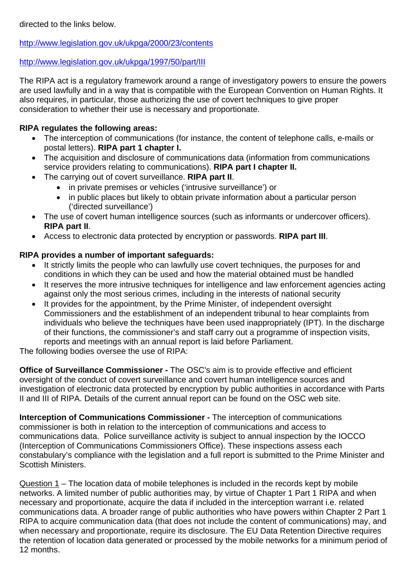directed to the links below.

http://www.legislation.gov.uk/ukpga/2000/23/contents

### http://www.legislation.gov.uk/ukpga/1997/50/part/III

The RIPA act is a regulatory framework around a range of investigatory powers to ensure the powers are used lawfully and in a way that is compatible with the European Convention on Human Rights. It also requires, in particular, those authorizing the use of covert techniques to give proper consideration to whether their use is necessary and proportionate.

## **RIPA regulates the following areas:**

- The interception of communications (for instance, the content of telephone calls, e-mails or postal letters). **RIPA part 1 chapter I.**
- The acquisition and disclosure of communications data (information from communications service providers relating to communications). **RIPA part I chapter II.**
- The carrying out of covert surveillance. **RIPA part II**.
	- in private premises or vehicles ('intrusive surveillance') or
	- in public places but likely to obtain private information about a particular person ('directed surveillance')
- The use of covert human intelligence sources (such as informants or undercover officers). **RIPA part II**.
- Access to electronic data protected by encryption or passwords. **RIPA part III**.

### **RIPA provides a number of important safeguards:**

- It strictly limits the people who can lawfully use covert techniques, the purposes for and conditions in which they can be used and how the material obtained must be handled
- It reserves the more intrusive techniques for intelligence and law enforcement agencies acting against only the most serious crimes, including in the interests of national security
- It provides for the appointment, by the Prime Minister, of independent oversight Commissioners and the establishment of an independent tribunal to hear complaints from individuals who believe the techniques have been used inappropriately (IPT). In the discharge of their functions, the commissioner's and staff carry out a programme of inspection visits, reports and meetings with an annual report is laid before Parliament.

The following bodies oversee the use of RIPA:

**Office of Surveillance Commissioner -** The OSC's aim is to provide effective and efficient oversight of the conduct of covert surveillance and covert human intelligence sources and investigation of electronic data protected by encryption by public authorities in accordance with Parts II and III of RIPA. Details of the current annual report can be found on the OSC web site.

**Interception of Communications Commissioner -** The interception of communications commissioner is both in relation to the interception of communications and access to communications data. Police surveillance activity is subject to annual inspection by the IOCCO (Interception of Communications Commissioners Office). These inspections assess each constabulary's compliance with the legislation and a full report is submitted to the Prime Minister and Scottish Ministers.

Question 1 – The location data of mobile telephones is included in the records kept by mobile networks. A limited number of public authorities may, by virtue of Chapter 1 Part 1 RIPA and when necessary and proportionate, acquire the data if included in the interception warrant i.e. related communications data. A broader range of public authorities who have powers within Chapter 2 Part 1 RIPA to acquire communication data (that does not include the content of communications) may, and when necessary and proportionate, require its disclosure. The EU Data Retention Directive requires the retention of location data generated or processed by the mobile networks for a minimum period of 12 months.